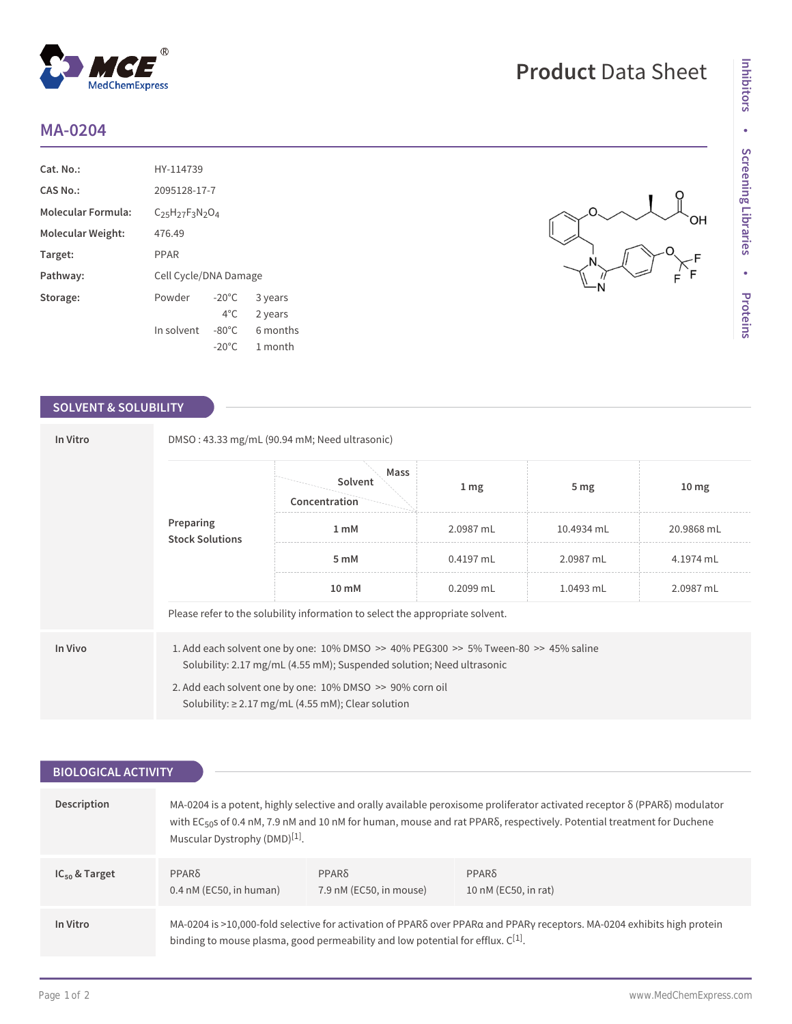## **MA-0204**

| Cat. No.:                 | HY-114739                   |                 |          |  |
|---------------------------|-----------------------------|-----------------|----------|--|
| <b>CAS No.:</b>           | 2095128-17-7                |                 |          |  |
| <b>Molecular Formula:</b> | $C_{25}H_{27}F_{3}N_{2}O_4$ |                 |          |  |
| Molecular Weight:         | 476.49                      |                 |          |  |
| Target:                   | PPAR                        |                 |          |  |
| Pathway:                  | Cell Cycle/DNA Damage       |                 |          |  |
| Storage:                  | Powder                      | $-20^{\circ}$ C | 3 years  |  |
|                           |                             | $4^{\circ}$ C.  | 2 years  |  |
|                           | In solvent                  | $-80^{\circ}$ C | 6 months |  |
|                           |                             | $-20^{\circ}$ C | 1 month  |  |

 $^{\circledR}$ 

MedChemExpress

## **SOLVENT & SOLUBILITY**

| In Vitro                            | DMSO: 43.33 mg/mL (90.94 mM; Need ultrasonic)                                                                                                                                                                                                                                                      |                                  |           |                 |                  |  |
|-------------------------------------|----------------------------------------------------------------------------------------------------------------------------------------------------------------------------------------------------------------------------------------------------------------------------------------------------|----------------------------------|-----------|-----------------|------------------|--|
| Preparing<br><b>Stock Solutions</b> |                                                                                                                                                                                                                                                                                                    | Mass<br>Solvent<br>Concentration | 1 mg      | 5 <sub>mg</sub> | 10 <sub>mg</sub> |  |
|                                     |                                                                                                                                                                                                                                                                                                    | 1 mM                             | 2.0987 mL | 10.4934 mL      | 20.9868 mL       |  |
|                                     | 5 mM                                                                                                                                                                                                                                                                                               | $0.4197$ mL                      | 2.0987 mL | 4.1974 mL       |                  |  |
|                                     | $10 \text{ mM}$                                                                                                                                                                                                                                                                                    | $0.2099$ mL                      | 1.0493 mL | 2.0987 mL       |                  |  |
|                                     | Please refer to the solubility information to select the appropriate solvent.                                                                                                                                                                                                                      |                                  |           |                 |                  |  |
| In Vivo                             | 1. Add each solvent one by one: $10\%$ DMSO $\geq$ 40% PEG300 $\geq$ 5% Tween-80 $\geq$ 45% saline<br>Solubility: 2.17 mg/mL (4.55 mM); Suspended solution; Need ultrasonic<br>2. Add each solvent one by one: 10% DMSO >> 90% corn oil<br>Solubility: $\geq$ 2.17 mg/mL (4.55 mM); Clear solution |                                  |           |                 |                  |  |

| <b>BIOLOGICAL ACTIVITY</b> |                                                                                                                                                                                                                 |                                         |                                                                                                                                                                                                                                                                |
|----------------------------|-----------------------------------------------------------------------------------------------------------------------------------------------------------------------------------------------------------------|-----------------------------------------|----------------------------------------------------------------------------------------------------------------------------------------------------------------------------------------------------------------------------------------------------------------|
|                            |                                                                                                                                                                                                                 |                                         |                                                                                                                                                                                                                                                                |
| Description                | Muscular Dystrophy (DMD) $[1]$ .                                                                                                                                                                                |                                         | MA-0204 is a potent, highly selective and orally available peroxisome proliferator activated receptor δ (PPARδ) modulator<br>with EC <sub>50</sub> s of 0.4 nM, 7.9 nM and 10 nM for human, mouse and rat PPARS, respectively. Potential treatment for Duchene |
| $IC_{50}$ & Target         | $PPAR\delta$<br>$0.4$ nM (EC50, in human)                                                                                                                                                                       | $PPAR\delta$<br>7.9 nM (EC50, in mouse) | $PPAR\delta$<br>10 nM (EC50, in rat)                                                                                                                                                                                                                           |
| In Vitro                   | MA-0204 is >10,000-fold selective for activation of PPARS over PPARa and PPARy receptors. MA-0204 exhibits high protein<br>binding to mouse plasma, good permeability and low potential for efflux. $C^{[1]}$ . |                                         |                                                                                                                                                                                                                                                                |

## **Product** Data Sheet

ОH

 $\leqslant^F$